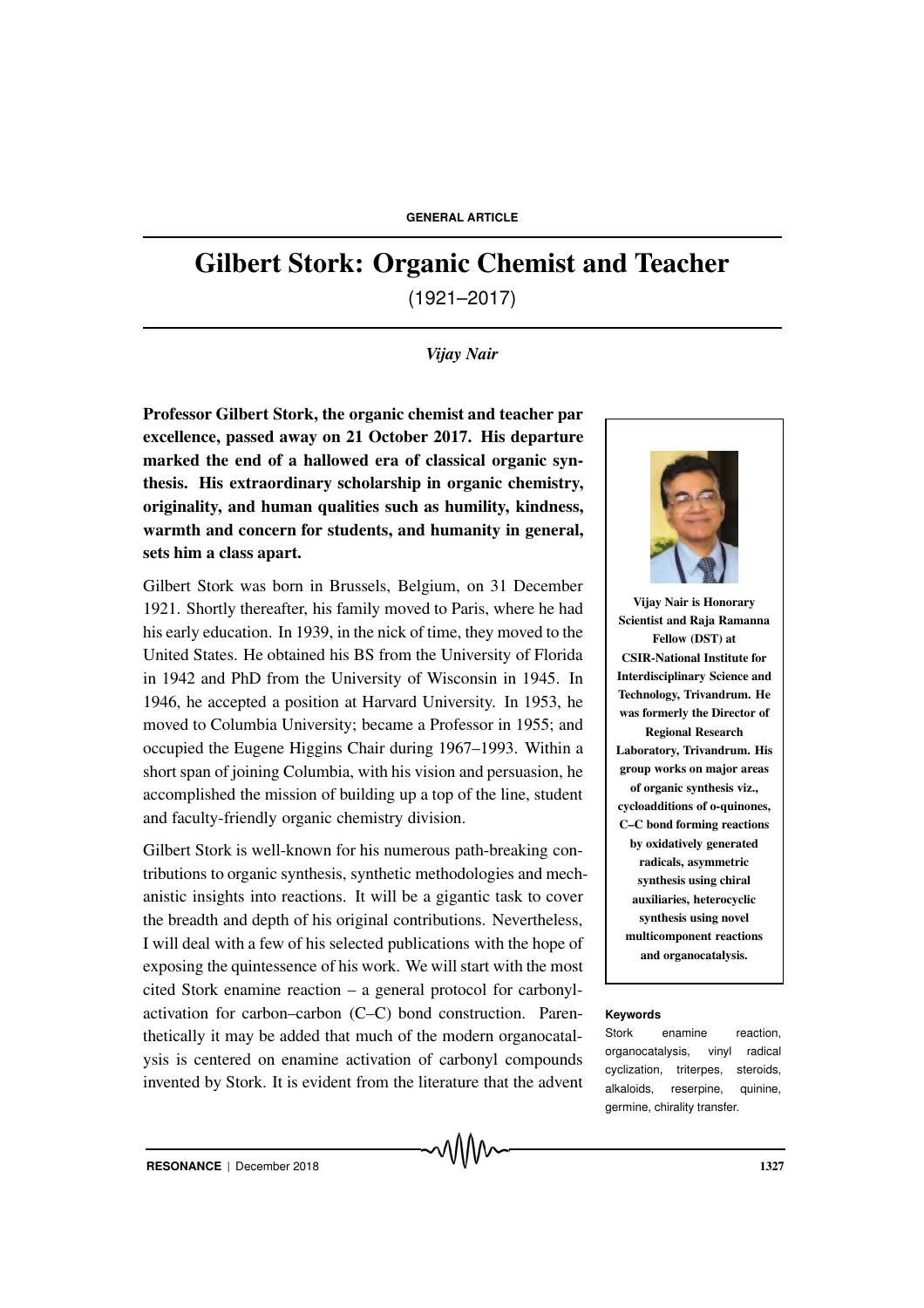# Gilbert Stork: Organic Chemist and Teacher

(1921–2017)

### *Vijay Nair*

Professor Gilbert Stork, the organic chemist and teacher par excellence, passed away on 21 October 2017. His departure marked the end of a hallowed era of classical organic synthesis. His extraordinary scholarship in organic chemistry, originality, and human qualities such as humility, kindness, warmth and concern for students, and humanity in general, sets him a class apart.

Gilbert Stork was born in Brussels, Belgium, on 31 December 1921. Shortly thereafter, his family moved to Paris, where he had his early education. In 1939, in the nick of time, they moved to the United States. He obtained his BS from the University of Florida in 1942 and PhD from the University of Wisconsin in 1945. In 1946, he accepted a position at Harvard University. In 1953, he moved to Columbia University; became a Professor in 1955; and occupied the Eugene Higgins Chair during 1967–1993. Within a short span of joining Columbia, with his vision and persuasion, he accomplished the mission of building up a top of the line, student and faculty-friendly organic chemistry division.

Gilbert Stork is well-known for his numerous path-breaking contributions to organic synthesis, synthetic methodologies and mechanistic insights into reactions. It will be a gigantic task to cover the breadth and depth of his original contributions. Nevertheless, I will deal with a few of his selected publications with the hope of exposing the quintessence of his work. We will start with the most cited Stork enamine reaction – a general protocol for carbonylactivation for carbon–carbon (C–C) bond construction. Paren- **Keywords** thetically it may be added that much of the modern organocatalysis is centered on enamine activation of carbonyl compounds invented by Stork. It is evident from the literature that the advent



Vijay Nair is Honorary Scientist and Raja Ramanna Fellow (DST) at CSIR-National Institute for Interdisciplinary Science and Technology, Trivandrum. He was formerly the Director of Regional Research Laboratory, Trivandrum. His group works on major areas of organic synthesis viz., cycloadditions of o-quinones, C–C bond forming reactions by oxidatively generated radicals, asymmetric synthesis using chiral auxiliaries, heterocyclic synthesis using novel multicomponent reactions and organocatalysis.

Stork enamine reaction, organocatalysis, vinyl radical cyclization, triterpes, steroids, alkaloids, reserpine, quinine, germine, chirality transfer.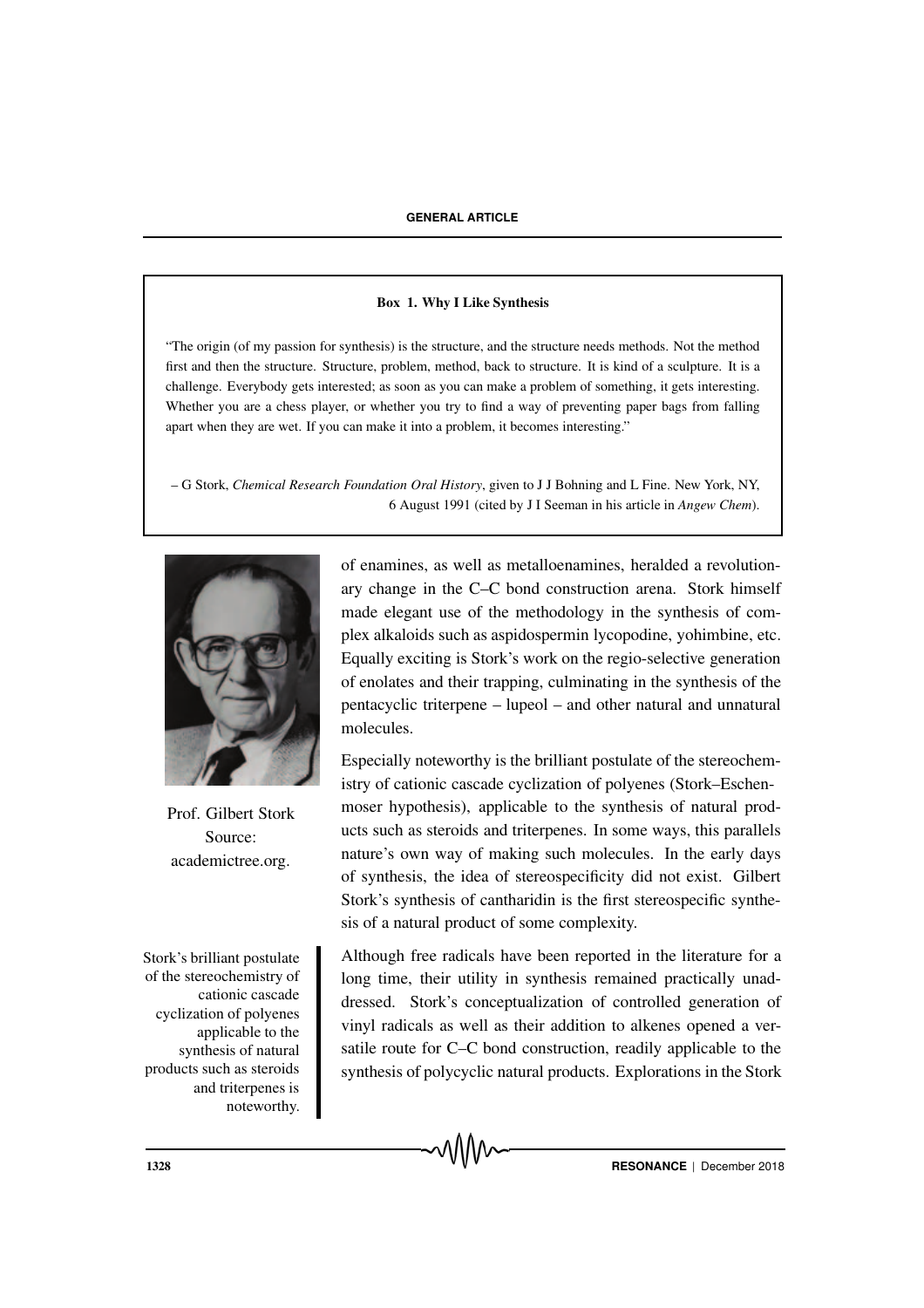#### Box 1. Why I Like Synthesis

"The origin (of my passion for synthesis) is the structure, and the structure needs methods. Not the method first and then the structure. Structure, problem, method, back to structure. It is kind of a sculpture. It is a challenge. Everybody gets interested; as soon as you can make a problem of something, it gets interesting. Whether you are a chess player, or whether you try to find a way of preventing paper bags from falling apart when they are wet. If you can make it into a problem, it becomes interesting."

– G Stork, *Chemical Research Foundation Oral History*, given to J J Bohning and L Fine. New York, NY, 6 August 1991 (cited by J I Seeman in his article in *Angew Chem*).



Prof. Gilbert Stork Source: academictree.org.

Stork's brilliant postulate of the stereochemistry of cationic cascade cyclization of polyenes applicable to the synthesis of natural products such as steroids and triterpenes is noteworthy.

of enamines, as well as metalloenamines, heralded a revolutionary change in the C–C bond construction arena. Stork himself made elegant use of the methodology in the synthesis of complex alkaloids such as aspidospermin lycopodine, yohimbine, etc. Equally exciting is Stork's work on the regio-selective generation of enolates and their trapping, culminating in the synthesis of the pentacyclic triterpene – lupeol – and other natural and unnatural molecules.

Especially noteworthy is the brilliant postulate of the stereochemistry of cationic cascade cyclization of polyenes (Stork–Eschenmoser hypothesis), applicable to the synthesis of natural products such as steroids and triterpenes. In some ways, this parallels nature's own way of making such molecules. In the early days of synthesis, the idea of stereospecificity did not exist. Gilbert Stork's synthesis of cantharidin is the first stereospecific synthesis of a natural product of some complexity.

Although free radicals have been reported in the literature for a long time, their utility in synthesis remained practically unaddressed. Stork's conceptualization of controlled generation of vinyl radicals as well as their addition to alkenes opened a versatile route for C–C bond construction, readily applicable to the synthesis of polycyclic natural products. Explorations in the Stork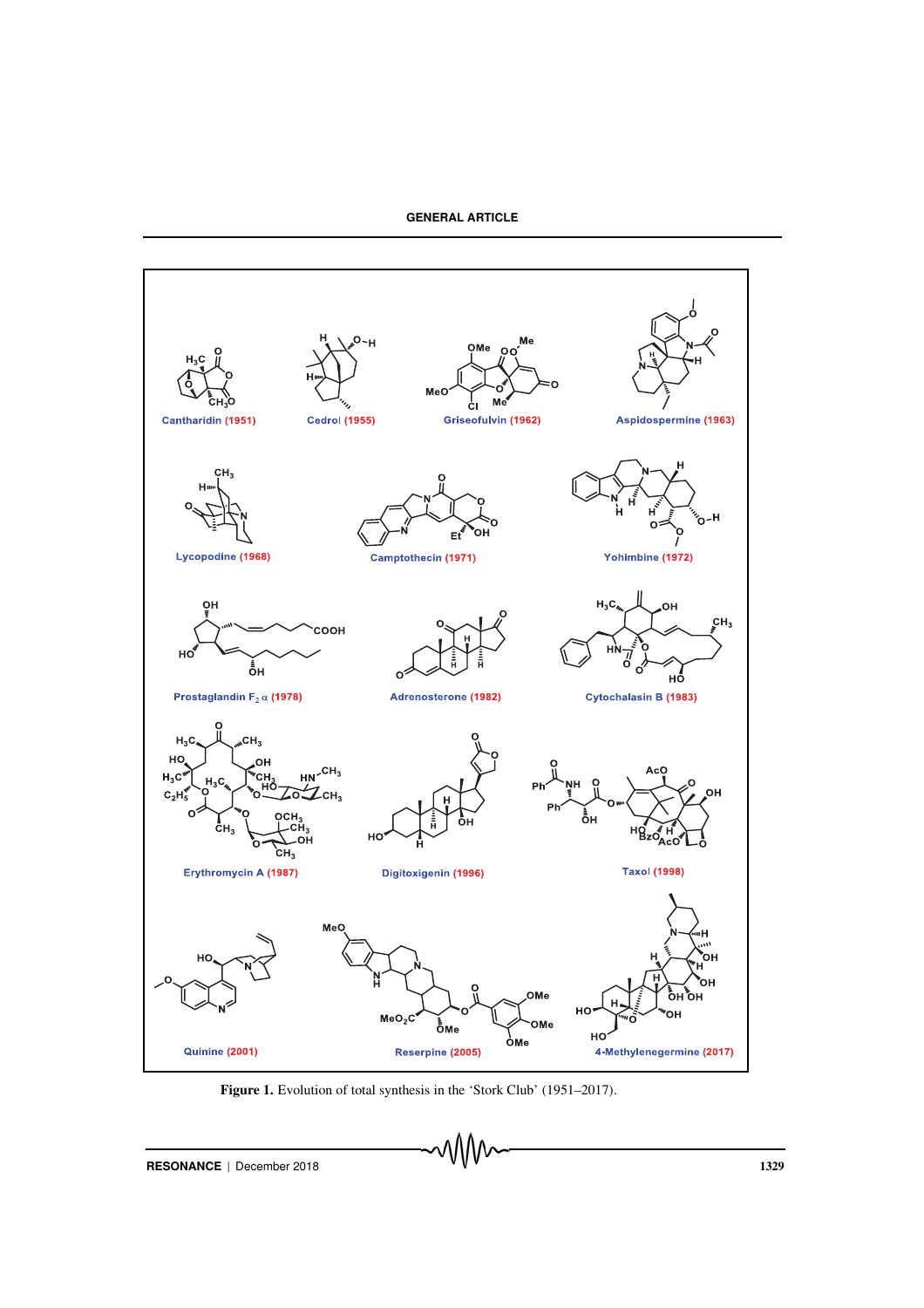

Figure 1. Evolution of total synthesis in the 'Stork Club' (1951–2017).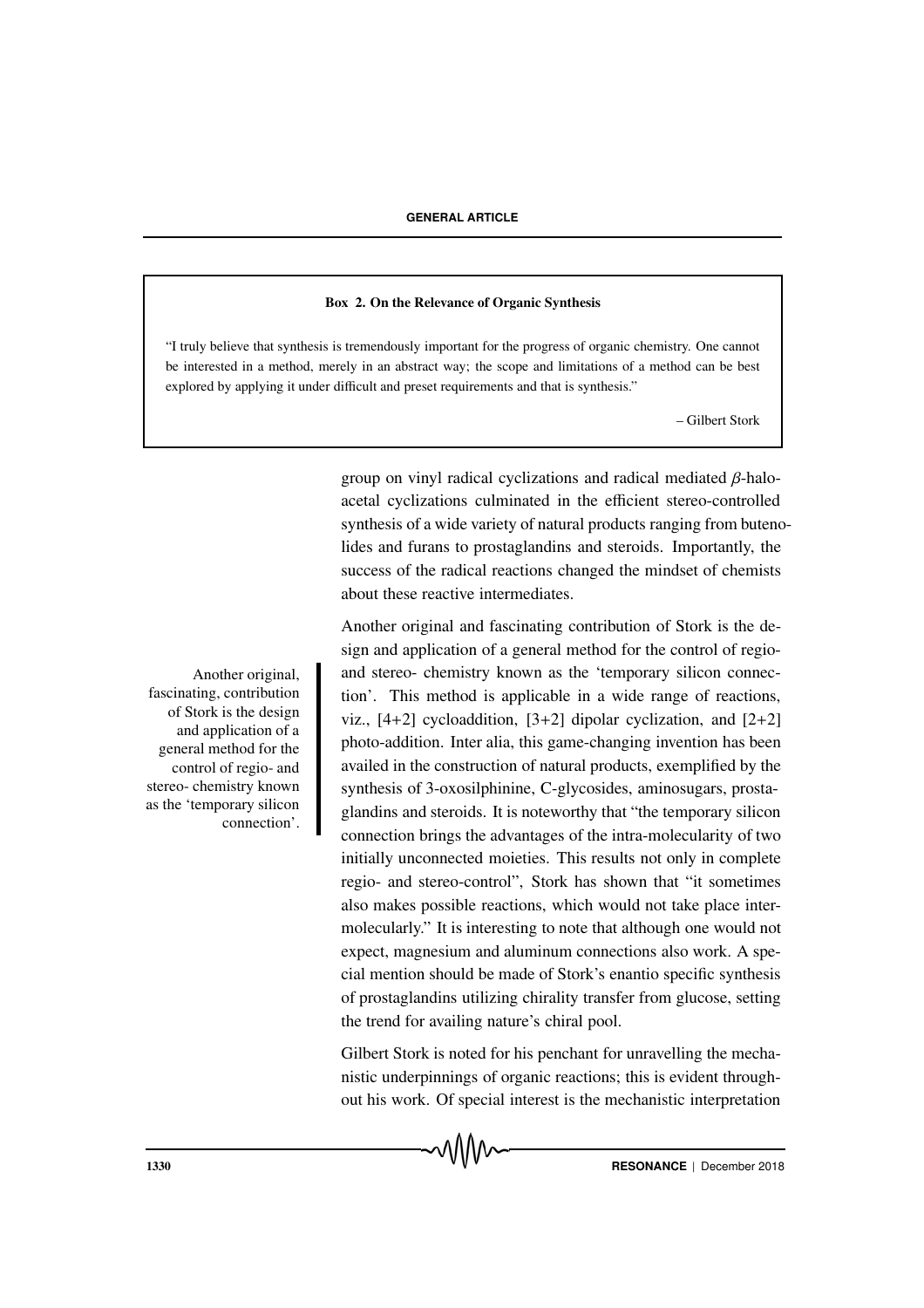#### Box 2. On the Relevance of Organic Synthesis

"I truly believe that synthesis is tremendously important for the progress of organic chemistry. One cannot be interested in a method, merely in an abstract way; the scope and limitations of a method can be best explored by applying it under difficult and preset requirements and that is synthesis."

– Gilbert Stork

group on vinyl radical cyclizations and radical mediated β-haloacetal cyclizations culminated in the efficient stereo-controlled synthesis of a wide variety of natural products ranging from butenolides and furans to prostaglandins and steroids. Importantly, the success of the radical reactions changed the mindset of chemists about these reactive intermediates.

Another original and fascinating contribution of Stork is the design and application of a general method for the control of regio-Another original, and stereo- chemistry known as the 'temporary silicon connection'. This method is applicable in a wide range of reactions, viz.,  $[4+2]$  cycloaddition,  $[3+2]$  dipolar cyclization, and  $[2+2]$ photo-addition. Inter alia, this game-changing invention has been availed in the construction of natural products, exemplified by the synthesis of 3-oxosilphinine, C-glycosides, aminosugars, prostaglandins and steroids. It is noteworthy that "the temporary silicon connection brings the advantages of the intra-molecularity of two initially unconnected moieties. This results not only in complete regio- and stereo-control", Stork has shown that "it sometimes also makes possible reactions, which would not take place intermolecularly." It is interesting to note that although one would not expect, magnesium and aluminum connections also work. A special mention should be made of Stork's enantio specific synthesis of prostaglandins utilizing chirality transfer from glucose, setting the trend for availing nature's chiral pool.

> Gilbert Stork is noted for his penchant for unravelling the mechanistic underpinnings of organic reactions; this is evident throughout his work. Of special interest is the mechanistic interpretation

fascinating, contribution of Stork is the design and application of a general method for the control of regio- and stereo- chemistry known as the 'temporary silicon connection'.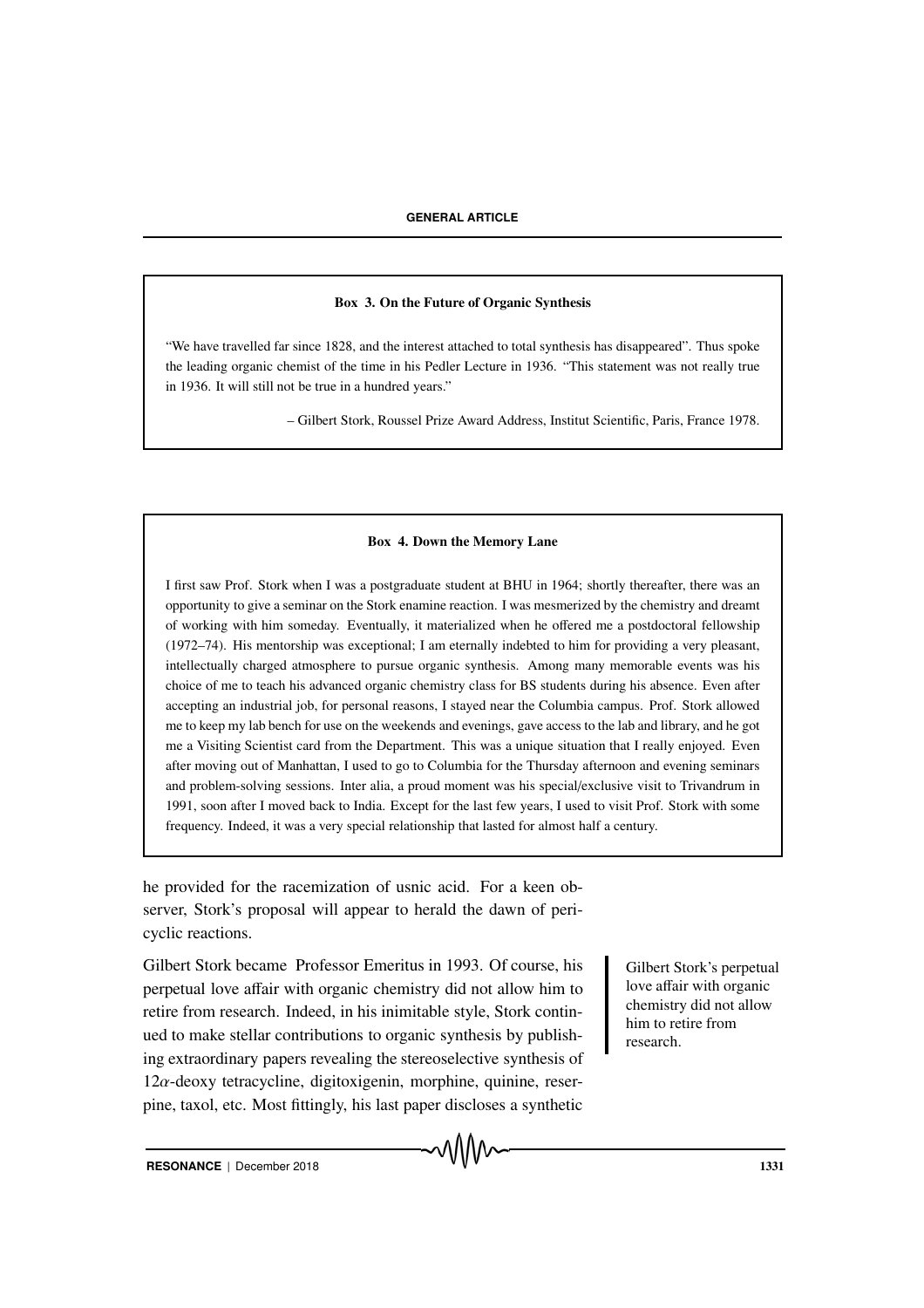#### Box 3. On the Future of Organic Synthesis

"We have travelled far since 1828, and the interest attached to total synthesis has disappeared". Thus spoke the leading organic chemist of the time in his Pedler Lecture in 1936. "This statement was not really true in 1936. It will still not be true in a hundred years."

– Gilbert Stork, Roussel Prize Award Address, Institut Scientific, Paris, France 1978.

#### Box 4. Down the Memory Lane

I first saw Prof. Stork when I was a postgraduate student at BHU in 1964; shortly thereafter, there was an opportunity to give a seminar on the Stork enamine reaction. I was mesmerized by the chemistry and dreamt of working with him someday. Eventually, it materialized when he offered me a postdoctoral fellowship (1972–74). His mentorship was exceptional; I am eternally indebted to him for providing a very pleasant, intellectually charged atmosphere to pursue organic synthesis. Among many memorable events was his choice of me to teach his advanced organic chemistry class for BS students during his absence. Even after accepting an industrial job, for personal reasons, I stayed near the Columbia campus. Prof. Stork allowed me to keep my lab bench for use on the weekends and evenings, gave access to the lab and library, and he got me a Visiting Scientist card from the Department. This was a unique situation that I really enjoyed. Even after moving out of Manhattan, I used to go to Columbia for the Thursday afternoon and evening seminars and problem-solving sessions. Inter alia, a proud moment was his special/exclusive visit to Trivandrum in 1991, soon after I moved back to India. Except for the last few years, I used to visit Prof. Stork with some frequency. Indeed, it was a very special relationship that lasted for almost half a century.

he provided for the racemization of usnic acid. For a keen observer, Stork's proposal will appear to herald the dawn of pericyclic reactions.

Gilbert Stork became Professor Emeritus in 1993. Of course, his Gilbert Stork's perpetual perpetual love affair with organic chemistry did not allow him to retire from research. Indeed, in his inimitable style, Stork continued to make stellar contributions to organic synthesis by publishing extraordinary papers revealing the stereoselective synthesis of  $12\alpha$ -deoxy tetracycline, digitoxigenin, morphine, quinine, reserpine, taxol, etc. Most fittingly, his last paper discloses a synthetic

love affair with organic chemistry did not allow him to retire from research.